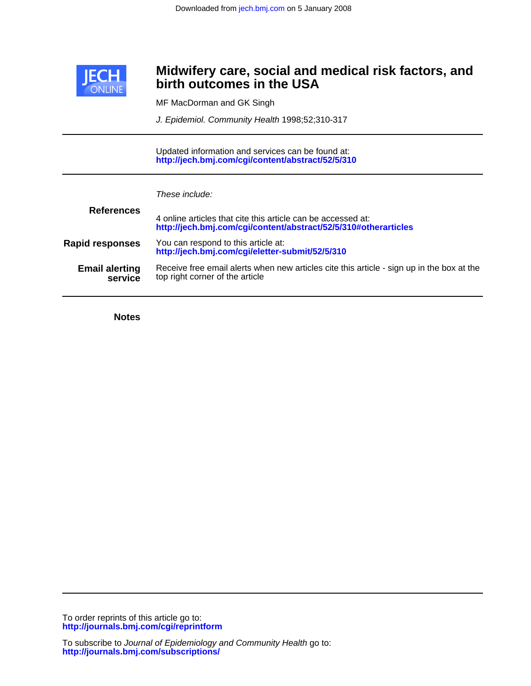

## **birth outcomes in the USA Midwifery care, social and medical risk factors, and**

MF MacDorman and GK Singh

J. Epidemiol. Community Health 1998;52;310-317

**<http://jech.bmj.com/cgi/content/abstract/52/5/310>** Updated information and services can be found at:

| These include: |  |
|----------------|--|
|                |  |

| <b>References</b>                | 4 online articles that cite this article can be accessed at:<br>http://jech.bmj.com/cgi/content/abstract/52/5/310#otherarticles |
|----------------------------------|---------------------------------------------------------------------------------------------------------------------------------|
| <b>Rapid responses</b>           | You can respond to this article at:<br>http://jech.bmj.com/cgi/eletter-submit/52/5/310                                          |
| <b>Email alerting</b><br>service | Receive free email alerts when new articles cite this article - sign up in the box at the<br>top right corner of the article    |

**Notes**

**<http://journals.bmj.com/cgi/reprintform>** To order reprints of this article go to: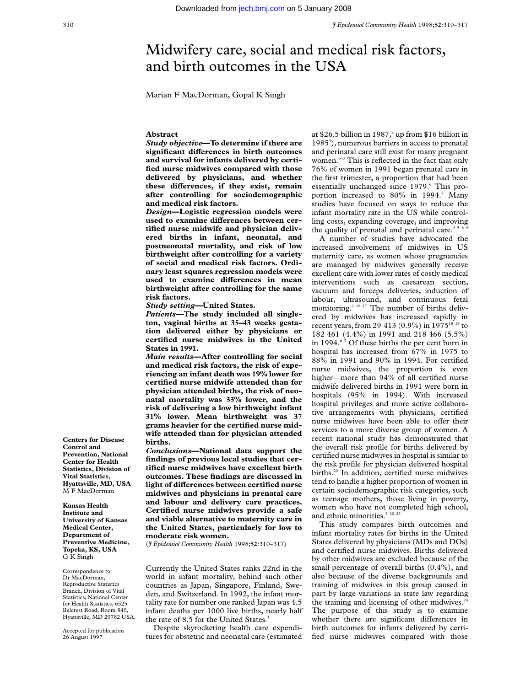# Midwifery care, social and medical risk factors, and birth outcomes in the USA

Marian F MacDorman, Gopal K Singh

## **Abstract**

*Study objective***—To determine if there are significant diVerences in birth outcomes and survival for infants delivered by certified nurse midwives compared with those delivered by physicians, and whether** these differences, if they exist, remain **after controlling for sociodemographic and medical risk factors.**

*Design***—Logistic regression models were** used to examine differences between cer**tified nurse midwife and physician delivered births in infant, neonatal, and postneonatal mortality, and risk of low birthweight after controlling for a variety of social and medical risk factors. Ordinary least squares regression models were** used to examine differences in mean **birthweight after controlling for the same risk factors.**

*Study setting***—United States.**

*Patients***—The study included all singleton, vaginal births at 35–43 weeks gestation delivered either by physicians or certified nurse midwives in the United States in 1991.**

*Main results***—After controlling for social and medical risk factors, the risk of experiencing an infant death was 19% lower for certified nurse midwife attended than for physician attended births, the risk of neonatal mortality was 33% lower, and the risk of delivering a low birthweight infant 31% lower. Mean birthweight was 37 grams heavier for the certified nurse midwife attended than for physician attended births.**

*Conclusions***—National data support the findings of previous local studies that certified nurse midwives have excellent birth outcomes. These findings are discussed in light of differences between certified nurse midwives and physicians in prenatal care and labour and delivery care practices. Certified nurse midwives provide a safe and viable alternative to maternity care in the United States, particularly for low to moderate risk women.**

(*J Epidemiol Community Health* 1998;**52**:310–317)

Currently the United States ranks 22nd in the world in infant mortality, behind such other countries as Japan, Singapore, Finland, Sweden, and Switzerland. In 1992, the infant mortality rate for number one ranked Japan was 4.5 infant deaths per 1000 live births, nearly half the rate of 8.5 for the United States.<sup>1</sup>

Despite skyrocketing health care expenditures for obstetric and neonatal care (estimated at \$26.5 billion in 1987,<sup>2</sup> up from \$16 billion in 1985<sup>3</sup>), numerous barriers in access to prenatal and perinatal care still exist for many pregnant women.<sup>3-5</sup> This is reflected in the fact that only 76% of women in 1991 began prenatal care in the first trimester, a proportion that had been essentially unchanged since 1979.<sup>6</sup> This proportion increased to 80% in 1994.<sup>7</sup> Many studies have focused on ways to reduce the infant mortality rate in the US while controlling costs, expanding coverage, and improving the quality of prenatal and perinatal care. $2-5$ 

A number of studies have advocated the increased involvement of midwives in US maternity care, as women whose pregnancies are managed by midwives generally receive excellent care with lower rates of costly medical interventions such as caesarean section, vacuum and forceps deliveries, induction of labour, ultrasound, and continuous fetal monitoring.<sup>2 10–17</sup> The number of births delivered by midwives has increased rapidly in recent years, from 29 413 (0.9%) in 1975<sup>18 19</sup> to 182 461 (4.4%) in 1991 and 218 466 (5.5%) in 1994. $67$  Of these births the per cent born in hospital has increased from 67% in 1975 to 88% in 1991 and 90% in 1994. For certified nurse midwives, the proportion is even higher—more than 94% of all certified nurse midwife delivered births in 1991 were born in hospitals (95% in 1994). With increased hospital privileges and more active collaborative arrangements with physicians, certified nurse midwives have been able to offer their services to a more diverse group of women. A recent national study has demonstrated that the overall risk profile for births delivered by certified nurse midwives in hospital is similar to the risk profile for physician delivered hospital births.<sup>20</sup> In addition, certified nurse midwives tend to handle a higher proportion of women in certain sociodemographic risk categories, such as teenage mothers, those living in poverty, women who have not completed high school, and ethnic minorities.<sup>2</sup> <sup>20–23</sup>

This study compares birth outcomes and infant mortality rates for births in the United States delivered by physicians (MDs and DOs) and certified nurse midwives. Births delivered by other midwives are excluded because of the small percentage of overall births (0.4%), and also because of the diverse backgrounds and training of midwives in this group caused in part by large variations in state law regarding the training and licensing of other midwives. $24$ The purpose of this study is to examine whether there are significant differences in birth outcomes for infants delivered by certified nurse midwives compared with those

**Centers for Disease Control and Prevention, National Center for Health Statistics, Division of Vital Statistics, Hyattsville, MD, USA** M F MacDorman

**Kansas Health Institute and University of Kansas Medical Center, Department of Preventive Medicine, Topeka, KS, USA** G K Singh

Correspondence to: Dr MacDorman, Reproductive Statistics Branch, Division of Vital Statistics, National Center for Health Statistics, 6525 Belcrest Road, Room 840, Hyattsville, MD 20782 USA.

Accepted for publication 26 August 1997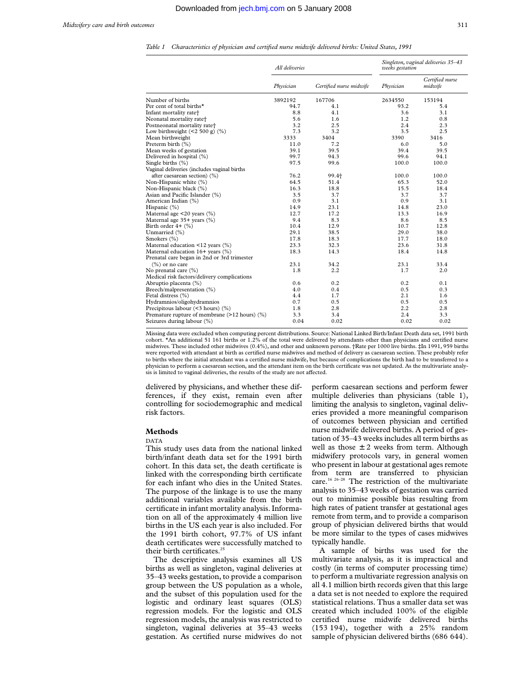*Table 1 Characteristics of physician and certified nurse midwife delivered births: United States, 1991*

|                                                                             | All deliveries |                         | Singleton, vaginal deliveries 35-43<br>weeks gestation |                            |  |
|-----------------------------------------------------------------------------|----------------|-------------------------|--------------------------------------------------------|----------------------------|--|
|                                                                             | Physician      | Certified nurse midwife | Physician                                              | Certified nurse<br>midwife |  |
| Number of births                                                            | 3892192        | 167706                  | 2634550                                                | 153194                     |  |
| Per cent of total births*                                                   | 94.7           | 4.1                     | 93.2                                                   | 5.4                        |  |
| Infant mortality rate <sup>+</sup>                                          | 8.8            | 4.1                     | 3.6                                                    | 3.1                        |  |
| Neonatal mortality rate+                                                    | 5.6            | 1.6                     | 1.2                                                    | 0.8                        |  |
| Postneonatal mortality rate+                                                | 3.2            | 2.5                     | 2.4                                                    | 2.3                        |  |
| Low birthweight $($ < 2 500 g) $(\%)$                                       | 7.3            | 3.2                     | 3.5                                                    | 2.5                        |  |
| Mean birthweight                                                            | 3333           | 3404                    | 3390                                                   | 3416                       |  |
| Preterm birth (%)                                                           | 11.0           | 7.2                     | 6.0                                                    | 5.0                        |  |
| Mean weeks of gestation                                                     | 39.1           | 39.5                    | 39.4                                                   | 39.5                       |  |
| Delivered in hospital (%)                                                   | 99.7           | 94.3                    | 99.6                                                   | 94.1                       |  |
| Single births (%)                                                           | 97.5           | 99.6                    | 100.0                                                  | 100.0                      |  |
| Vaginal deliveries (includes vaginal births                                 |                |                         |                                                        |                            |  |
| after caesarean section) (%)                                                | 76.2           | 99.4+                   | 100.0                                                  | 100.0                      |  |
| Non-Hispanic white (%)                                                      | 64.5           | 51.4                    | 65.3                                                   | 52.0                       |  |
| Non-Hispanic black (%)                                                      | 16.3           | 18.8                    | 15.5                                                   | 18.4                       |  |
| Asian and Pacific Islander (%)                                              | 3.5            | 3.7                     | 3.7                                                    | 3.7                        |  |
| American Indian (%)                                                         | 0.9            | 3.1                     | 0.9                                                    | 3.1                        |  |
| Hispanic (%)                                                                | 14.9           | 23.1                    | 14.8                                                   | 23.0                       |  |
| Maternal age <20 years (%)                                                  | 12.7           | 17.2                    | 13.3                                                   | 16.9                       |  |
| Maternal age 35+ years (%)                                                  | 9.4            | 8.3                     | 8.6                                                    | 8.5                        |  |
| Birth order 4+ (%)                                                          | 10.4           | 12.9                    | 10.7                                                   | 12.8                       |  |
| Unmarried (%)                                                               | 29.1           | 38.5                    | 29.0                                                   | 38.0                       |  |
| Smokers (%)                                                                 | 17.8           | 18.3                    | 17.7                                                   | 18.0                       |  |
| Maternal education $\leq$ 12 years (%)                                      | 23.3           | 32.3                    | 23.6                                                   | 31.8                       |  |
| Maternal education 16+ years (%)                                            | 18.3           | 14.3                    | 18.4                                                   | 14.8                       |  |
| Prenatal care began in 2nd or 3rd trimester                                 |                |                         |                                                        |                            |  |
| $(\%)$ or no care                                                           | 23.1           | 34.2                    | 23.1                                                   | 33.4                       |  |
| No prenatal care (%)                                                        | 1.8            | 2.2                     | 1.7                                                    | 2.0                        |  |
| Medical risk factors/delivery complications                                 |                |                         |                                                        |                            |  |
| Abruptio placenta (%)                                                       | 0.6            | 0.2                     | 0.2                                                    | 0.1                        |  |
| Breech/malpresentation (%)                                                  | 4.0            | 0.4                     | 0.5                                                    | 0.3                        |  |
| Fetal distress (%)                                                          | 4.4            | 1.7                     | 2.1                                                    | 1.6                        |  |
| Hydramnios/oligohydramnios                                                  | 0.7            | 0.5                     | 0.5                                                    | 0.5                        |  |
| Precipitous labour (<3 hours) (%)                                           | 1.8            | 2.8                     | 2.2                                                    | 2.8                        |  |
|                                                                             | 3.3            | 3.4                     | 2.4                                                    | 3.3                        |  |
| Premature rupture of membrane (>12 hours) (%)<br>Seizures during labour (%) | 0.04           | 0.02                    | 0.02                                                   | 0.02                       |  |

Missing data were excluded when computing percent distributions. Source: National Linked Birth/Infant Death data set, 1991 birth cohort. \*An additional 51 161 births or 1.2% of the total were delivered by attendants other than physicians and certified nurse midwives. These included other midwives (0.4%), and other and unknown persons. †Rate per 1000 live births. ‡In 1991, 959 births were reported with attendant at birth as certified nurse midwives and method of delivery as caesarean section. These probably refer to births where the initial attendant was a certified nurse midwife, but because of complications the birth had to be transferred to a physician to perform a caesarean section, and the attendant item on the birth certificate was not updated. As the multivariate analysis is limited to vaginal deliveries, the results of the study are not affected.

delivered by physicians, and whether these differences, if they exist, remain even after controlling for sociodemographic and medical risk factors.

### **Methods**

DATA

This study uses data from the national linked birth/infant death data set for the 1991 birth cohort. In this data set, the death certificate is linked with the corresponding birth certificate for each infant who dies in the United States. The purpose of the linkage is to use the many additional variables available from the birth certificate in infant mortality analysis. Information on all of the approximately 4 million live births in the US each year is also included. For the 1991 birth cohort, 97.7% of US infant death certificates were successfully matched to their birth certificates.<sup>25</sup>

The descriptive analysis examines all US births as well as singleton, vaginal deliveries at 35–43 weeks gestation, to provide a comparison group between the US population as a whole, and the subset of this population used for the logistic and ordinary least squares (OLS) regression models. For the logistic and OLS regression models, the analysis was restricted to singleton, vaginal deliveries at 35–43 weeks gestation. As certified nurse midwives do not

perform caesarean sections and perform fewer multiple deliveries than physicians (table 1), limiting the analysis to singleton, vaginal deliveries provided a more meaningful comparison of outcomes between physician and certified nurse midwife delivered births. A period of gestation of 35–43 weeks includes all term births as well as those  $\pm$  2 weeks from term. Although midwifery protocols vary, in general women who present in labour at gestational ages remote from term are transferred to physician care.16 26–28 The restriction of the multivariate analysis to 35–43 weeks of gestation was carried out to minimise possible bias resulting from high rates of patient transfer at gestational ages remote from term, and to provide a comparison group of physician delivered births that would be more similar to the types of cases midwives typically handle.

A sample of births was used for the multivariate analysis, as it is impractical and costly (in terms of computer processing time) to perform a multivariate regression analysis on all 4.1 million birth records given that this large a data set is not needed to explore the required statistical relations. Thus a smaller data set was created which included 100% of the eligible certified nurse midwife delivered births (153 194), together with a 25% random sample of physician delivered births (686 644).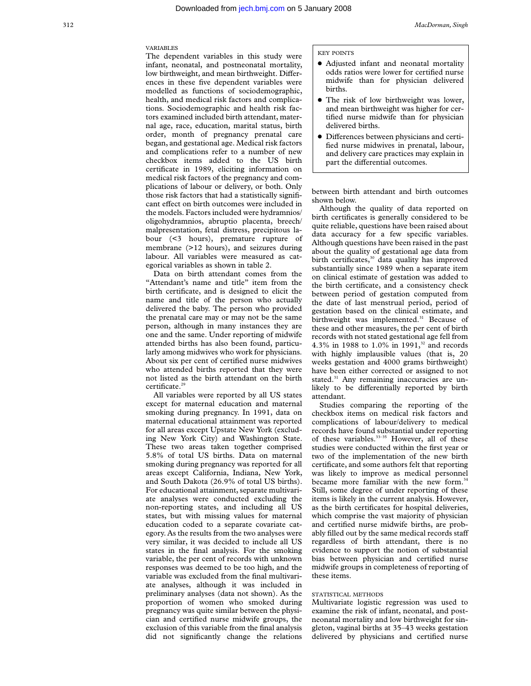## VARIABLES

The dependent variables in this study were infant, neonatal, and postneonatal mortality, low birthweight, and mean birthweight. Differences in these five dependent variables were modelled as functions of sociodemographic, health, and medical risk factors and complications. Sociodemographic and health risk factors examined included birth attendant, maternal age, race, education, marital status, birth order, month of pregnancy prenatal care began, and gestational age. Medical risk factors and complications refer to a number of new checkbox items added to the US birth certificate in 1989, eliciting information on medical risk factors of the pregnancy and complications of labour or delivery, or both. Only those risk factors that had a statistically significant effect on birth outcomes were included in the models. Factors included were hydramnios/ oligohydramnios, abruptio placenta, breech/ malpresentation, fetal distress, precipitous labour (<3 hours), premature rupture of membrane (>12 hours), and seizures during labour. All variables were measured as categorical variables as shown in table 2.

Data on birth attendant comes from the "Attendant's name and title" item from the birth certificate, and is designed to elicit the name and title of the person who actually delivered the baby. The person who provided the prenatal care may or may not be the same person, although in many instances they are one and the same. Under reporting of midwife attended births has also been found, particularly among midwives who work for physicians. About six per cent of certified nurse midwives who attended births reported that they were not listed as the birth attendant on the birth certificate.<sup>29</sup>

All variables were reported by all US states except for maternal education and maternal smoking during pregnancy. In 1991, data on maternal educational attainment was reported for all areas except Upstate New York (excluding New York City) and Washington State. These two areas taken together comprised 5.8% of total US births. Data on maternal smoking during pregnancy was reported for all areas except California, Indiana, New York, and South Dakota (26.9% of total US births). For educational attainment, separate multivariate analyses were conducted excluding the non-reporting states, and including all US states, but with missing values for maternal education coded to a separate covariate category. As the results from the two analyses were very similar, it was decided to include all US states in the final analysis. For the smoking variable, the per cent of records with unknown responses was deemed to be too high, and the variable was excluded from the final multivariate analyses, although it was included in preliminary analyses (data not shown). As the proportion of women who smoked during pregnancy was quite similar between the physician and certified nurse midwife groups, the exclusion of this variable from the final analysis did not significantly change the relations

#### KEY POINTS

- Adjusted infant and neonatal mortality odds ratios were lower for certified nurse midwife than for physician delivered births.
- The risk of low birthweight was lower, and mean birthweight was higher for certified nurse midwife than for physician delivered births.
- $\bullet$  Differences between physicians and certified nurse midwives in prenatal, labour, and delivery care practices may explain in part the differential outcomes.

between birth attendant and birth outcomes shown below.

Although the quality of data reported on birth certificates is generally considered to be quite reliable, questions have been raised about data accuracy for a few specific variables. Although questions have been raised in the past about the quality of gestational age data from birth certificates,<sup>30</sup> data quality has improved substantially since 1989 when a separate item on clinical estimate of gestation was added to the birth certificate, and a consistency check between period of gestation computed from the date of last menstrual period, period of gestation based on the clinical estimate, and birthweight was implemented.<sup>31</sup> Because of these and other measures, the per cent of birth records with not stated gestational age fell from 4.3% in 1988 to 1.0% in 1991,<sup>32</sup> and records with highly implausible values (that is, 20 weeks gestation and 4000 grams birthweight) have been either corrected or assigned to not stated.<sup>31</sup> Any remaining inaccuracies are unlikely to be differentially reported by birth attendant.

Studies comparing the reporting of the checkbox items on medical risk factors and complications of labour/delivery to medical records have found substantial under reporting of these variables.<sup>33-35</sup> However, all of these studies were conducted within the first year or two of the implementation of the new birth certificate, and some authors felt that reporting was likely to improve as medical personnel became more familiar with the new form.<sup>34</sup> Still, some degree of under reporting of these items is likely in the current analysis. However, as the birth certificates for hospital deliveries, which comprise the vast majority of physician and certified nurse midwife births, are probably filled out by the same medical records staff regardless of birth attendant, there is no evidence to support the notion of substantial bias between physician and certified nurse midwife groups in completeness of reporting of these items.

## STATISTICAL METHODS

Multivariate logistic regression was used to examine the risk of infant, neonatal, and postneonatal mortality and low birthweight for singleton, vaginal births at 35–43 weeks gestation delivered by physicians and certified nurse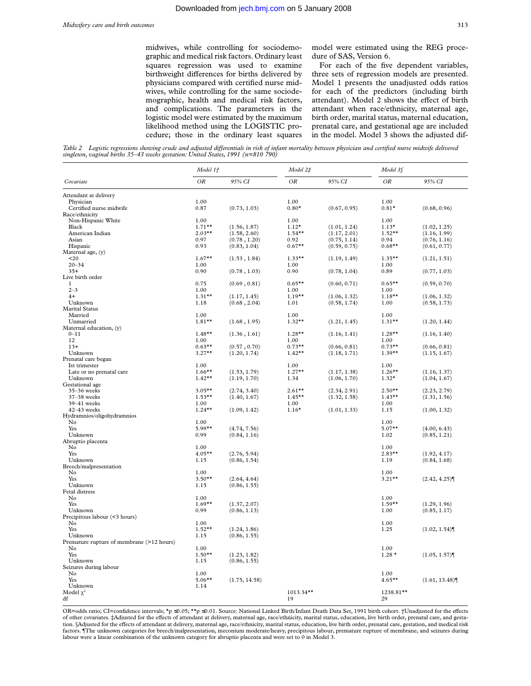midwives, while controlling for sociodemographic and medical risk factors. Ordinary least squares regression was used to examine birthweight differences for births delivered by physicians compared with certified nurse midwives, while controlling for the same sociodemographic, health and medical risk factors, and complications. The parameters in the logistic model were estimated by the maximum likelihood method using the LOGISTIC procedure; those in the ordinary least squares model were estimated using the REG procedure of SAS, Version 6.

For each of the five dependent variables, three sets of regression models are presented. Model 1 presents the unadjusted odds ratios for each of the predictors (including birth attendant). Model 2 shows the effect of birth attendant when race/ethnicity, maternal age, birth order, marital status, maternal education, prenatal care, and gestational age are included in the model. Model 3 shows the adjusted dif-

Table 2 Logistic regressions showing crude and adjusted differentials in risk of infant mortality between physician and certified nurse midwife delivered *singleton, vaginal births 35–43 weeks gestation: United States, 1991 (n=810 790)*

|                                           | Model 1†  |               | Model 2‡     |              |           | Model 3f      |  |
|-------------------------------------------|-----------|---------------|--------------|--------------|-----------|---------------|--|
| Covariate                                 | <b>OR</b> | 95% CI        | ΟR           | 95% CI       | OR        | 95% CI        |  |
| Attendant at delivery                     |           |               |              |              |           |               |  |
| Physician                                 | 1.00      |               | 1.00         |              | 1.00      |               |  |
| Certified nurse midwife                   | 0.87      | (0.73, 1.03)  | $0.80*$      | (0.67, 0.95) | $0.81*$   | (0.68, 0.96)  |  |
| Race/ethnicity                            |           |               |              |              |           |               |  |
| Non-Hispanic White                        | 1.00      |               | 1.00         |              | 1.00      |               |  |
| Black                                     | $1.71***$ | (1.56, 1.87)  | $1.12*$      | (1.01, 1.24) | $1.13*$   | (1.02, 1.25)  |  |
| American Indian                           | $2.03**$  | (1.58, 2.60)  | $1.54***$    | (1.17, 2.01) | $1.52**$  | (1.16, 1.99)  |  |
| Asian                                     | 0.97      | (0.78, 1.20)  | 0.92         | (0.75, 1.14) | 0.94      | (0.76, 1.16)  |  |
| Hispanic                                  | 0.93      | (0.83, 1.04)  | $0.67**$     | (0.59, 0.75) | $0.68**$  | (0.61, 0.77)  |  |
| Maternal age, (y)                         |           |               |              |              |           |               |  |
| 20                                        | $1.67***$ | (1.53, 1.84)  | $1.33**$     | (1.19, 1.49) | $1.35***$ | (1.21, 1.51)  |  |
| $20 - 34$                                 | 1.00      |               | 1.00         |              | 1.00      |               |  |
| $35+$                                     | 0.90      | (0.78, 1.03)  | 0.90         | (0.78, 1.04) | 0.89      | (0.77, 1.03)  |  |
| Live birth order                          |           |               |              |              |           |               |  |
| 1                                         | 0.75      | (0.69, 0.81)  | $0.65***$    | (0.60, 0.71) | $0.65**$  | (0.59, 0.70)  |  |
| $2 - 3$                                   | 1.00      |               | 1.00         |              | 1.00      |               |  |
| $4+$                                      | $1.31***$ | (1.17, 1.45)  | $1.19***$    | (1.06, 1.32) | $1.18***$ | (1.06, 1.32)  |  |
| Unknown                                   | 1.18      | (0.68, 2.04)  | 1.01         | (0.58, 1.74) | 1.00      | (0.58, 1.73)  |  |
| <b>Marital Status</b>                     |           |               |              |              |           |               |  |
| Married                                   | 1.00      |               | 1.00         |              | 1.00      |               |  |
| Unmarried                                 | $1.81**$  | (1.68, 1.95)  | $1.32**$     | (1.21, 1.45) | $1.31***$ | (1.20, 1.44)  |  |
| Maternal education, (y)                   |           |               |              |              |           |               |  |
| $0 - 11$                                  | $1.48**$  | (1.36, 1.61)  | $1.28**$     | (1.16, 1.41) | $1.28**$  | (1.16, 1.40)  |  |
| 12                                        | 1.00      |               | 1.00         |              | 1.00      |               |  |
| $13+$                                     | $0.63**$  | (0.57, 0.70)  | $0.73**$     | (0.66, 0.81) | $0.73**$  | (0.66, 0.81)  |  |
| Unknown                                   | $3.27**$  | (1.20, 1.74)  | $1.42**$     | (1.18, 1.71) | $1.39**$  | (1.15, 1.67)  |  |
| Prenatal care began                       |           |               |              |              |           |               |  |
| Ist trimester                             | 1.00      |               | 1.00         |              | 1.00      |               |  |
| Late or no prenatal care                  | $1.66***$ | (1.53, 1.79)  | $1.27**$     | (1.17, 1.38) | $1.26***$ | (1.16, 1.37)  |  |
| Unknown                                   | $1.42**$  | (1.19, 1.70)  | 1.34         | (1.06, 1.70) | $1.32*$   | (1.04, 1.67)  |  |
| Gestational age                           |           |               |              |              |           |               |  |
| 35-36 weeks                               | $3.05**$  | (2.74, 3.40)  | $2.61***$    | (2.34, 2.91) | $2.50**$  | (2.23, 2.79)  |  |
| 37-38 weeks                               | $1.53**$  | (1.40, 1.67)  | $1.45***$    | (1.32, 1.58) | $1.43**$  | (1.31, 1.56)  |  |
| 39-41 weeks                               | 1.00      |               | 1.00         |              | 1.00      |               |  |
| 42-43 weeks                               | $1.24***$ | (1.09, 1.42)  | $1.16*$      | (1.01, 1.33) | 1.15      | (1.00, 1.32)  |  |
| Hydramnios/oligohydramnios                |           |               |              |              |           |               |  |
| No                                        | 1.00      |               |              |              | 1.00      |               |  |
| Yes                                       | $5.99**$  | (4.74, 7.56)  |              |              | $5.07**$  | (4.00, 6.43)  |  |
| Unknown<br>Abruptio placenta              | 0.99      | (0.84, 1.16)  |              |              | 1.02      | (0.85, 1.21)  |  |
| No                                        | 1.00      |               |              |              | 1.00      |               |  |
| Yes                                       | $4.05***$ | (2.76, 5.94)  |              |              | $2.83**$  | (1.92, 4.17)  |  |
| Unknown                                   | 1.15      | (0.86, 1.54)  |              |              | 1.19      |               |  |
| Breech/malpresentation                    |           |               |              |              |           | (0.84, 1.68)  |  |
| No                                        | 1.00      |               |              |              | 1.00      |               |  |
| Yes                                       | $3.50**$  | (2.64, 4.64)  |              |              | $3.21**$  | (2.42, 4.25)  |  |
| Unknown                                   | 1.15      | (0.86, 1.55)  |              |              |           |               |  |
| Fetal distress                            |           |               |              |              |           |               |  |
| No                                        | 1.00      |               |              |              | 1.00      |               |  |
| Yes                                       | $1.69**$  | (1.37, 2.07)  |              |              | $1.59**$  | (1.29, 1.96)  |  |
| Unknown                                   | 0.99      | (0.86, 1.13)  |              |              | 1.00      | (0.85, 1.17)  |  |
| Precipitous labour (<3 hours)             |           |               |              |              |           |               |  |
| No                                        | 1.00      |               |              |              | 1.00      |               |  |
| Yes                                       | $1.52**$  | (1.24, 1.86)  |              |              | 1.25      | (1.02, 1.54)  |  |
| Unknown                                   | 1.15      | (0.86, 1.55)  |              |              |           |               |  |
| Premature rupture of membrane (>12 hours) |           |               |              |              |           |               |  |
| No                                        | 1.00      |               |              |              | 1.00      |               |  |
| Yes                                       | $1.50**$  | (1.23, 1.82)  |              |              | $1.28*$   | (1.05, 1.57)  |  |
| Unknown                                   | 1.15      | (0.86, 1.55)  |              |              |           |               |  |
| Seizures during labour                    |           |               |              |              |           |               |  |
| No                                        | 1.00      |               |              |              | 1.00      |               |  |
| Yes                                       | $5.06***$ | (1.75, 14.58) |              |              | $4.65***$ | (1.61, 13.48) |  |
| Unknown                                   | 1.14      |               |              |              |           |               |  |
| Model $\chi^2$                            |           |               | $1013.34***$ |              | 1238.81** |               |  |
| df                                        |           |               | 19           |              | 29        |               |  |
|                                           |           |               |              |              |           |               |  |

OR=odds ratio; CI=confidence intervals; \*p ≤0.05; \*\*p ≤0.01. Source: National Linked Birth/Infant Death Data Set, 1991 birth cohort. †Unadjusted for the effects of other covariates. #Adjusted for the effects of attendant at delivery, maternal age, race/ethnicity, marital status, education, live birth order, prenatal care, and gestation. §Adjusted for the effects of attendant at delivery, maternal age, race/ethnicity, marital status, education, live birth order, prenatal care, gestation, and medical risk factors. ¶The unknown categories for breech/malpresentation, meconium moderate/heavy, precipitous labour, premature rupture of membrane, and seizures during labour were a linear combination of the unknown category for abruptio placenta and were set to 0 in Model 3.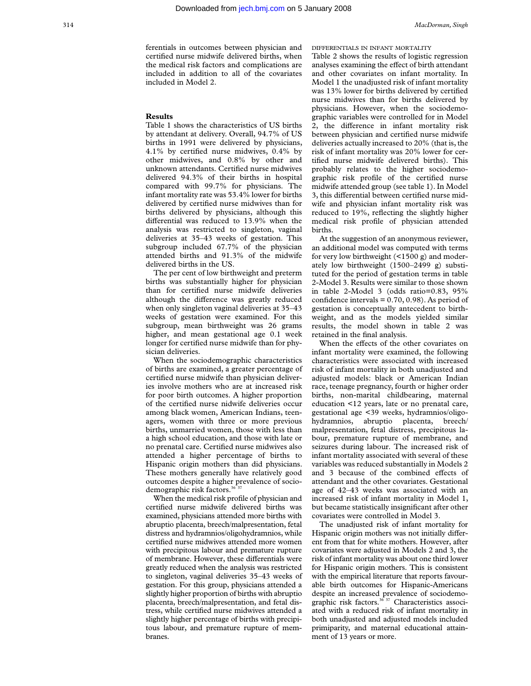ferentials in outcomes between physician and certified nurse midwife delivered births, when the medical risk factors and complications are included in addition to all of the covariates included in Model 2.

## **Results**

Table 1 shows the characteristics of US births by attendant at delivery. Overall, 94.7% of US births in 1991 were delivered by physicians, 4.1% by certified nurse midwives, 0.4% by other midwives, and 0.8% by other and unknown attendants. Certified nurse midwives delivered 94.3% of their births in hospital compared with 99.7% for physicians. The infant mortality rate was 53.4% lower for births delivered by certified nurse midwives than for births delivered by physicians, although this differential was reduced to 13.9% when the analysis was restricted to singleton, vaginal deliveries at 35–43 weeks of gestation. This subgroup included 67.7% of the physician attended births and 91.3% of the midwife delivered births in the US.

The per cent of low birthweight and preterm births was substantially higher for physician than for certified nurse midwife deliveries although the difference was greatly reduced when only singleton vaginal deliveries at 35–43 weeks of gestation were examined. For this subgroup, mean birthweight was 26 grams higher, and mean gestational age 0.1 week longer for certified nurse midwife than for physician deliveries.

When the sociodemographic characteristics of births are examined, a greater percentage of certified nurse midwife than physician deliveries involve mothers who are at increased risk for poor birth outcomes. A higher proportion of the certified nurse nidwife deliveries occur among black women, American Indians, teenagers, women with three or more previous births, unmarried women, those with less than a high school education, and those with late or no prenatal care. Certified nurse midwives also attended a higher percentage of births to Hispanic origin mothers than did physicians. These mothers generally have relatively good outcomes despite a higher prevalence of sociodemographic risk factors.<sup>36</sup><sup>3</sup>

When the medical risk profile of physician and certified nurse midwife delivered births was examined, physicians attended more births with abruptio placenta, breech/malpresentation, fetal distress and hydramnios/oligohydramnios, while certified nurse midwives attended more women with precipitous labour and premature rupture of membrane. However, these differentials were greatly reduced when the analysis was restricted to singleton, vaginal deliveries 35–43 weeks of gestation. For this group, physicians attended a slightly higher proportion of births with abruptio placenta, breech/malpresentation, and fetal distress, while certified nurse midwives attended a slightly higher percentage of births with precipitous labour, and premature rupture of membranes.

DIFFERENTIALS IN INFANT MORTALITY

Table 2 shows the results of logistic regression analyses examining the effect of birth attendant and other covariates on infant mortality. In Model 1 the unadjusted risk of infant mortality was 13% lower for births delivered by certified nurse midwives than for births delivered by physicians. However, when the sociodemographic variables were controlled for in Model 2, the difference in infant mortality risk between physician and certified nurse midwife deliveries actually increased to 20% (that is, the risk of infant mortality was 20% lower for certified nurse midwife delivered births). This probably relates to the higher sociodemographic risk profile of the certified nurse midwife attended group (see table 1). In Model 3, this differential between certified nurse midwife and physician infant mortality risk was reduced to 19%, reflecting the slightly higher medical risk profile of physician attended births.

At the suggestion of an anonymous reviewer, an additional model was computed with terms for very low birthweight (<1500 g) and moderately low birthweight (1500–2499 g) substituted for the period of gestation terms in table 2-Model 3. Results were similar to those shown in table 2-Model 3 (odds ratio=0.83, 95% confidence intervals  $= 0.70, 0.98$ . As period of gestation is conceptually antecedent to birthweight, and as the models yielded similar results, the model shown in table 2 was retained in the final analysis.

When the effects of the other covariates on infant mortality were examined, the following characteristics were associated with increased risk of infant mortality in both unadjusted and adjusted models: black or American Indian race, teenage pregnancy, fourth or higher order births, non-marital childbearing, maternal education <12 years, late or no prenatal care, gestational age <39 weeks, hydramnios/oligohydramnios, abruptio placenta, breech/ malpresentation, fetal distress, precipitous labour, premature rupture of membrane, and seizures during labour. The increased risk of infant mortality associated with several of these variables was reduced substantially in Models 2 and 3 because of the combined effects of attendant and the other covariates. Gestational age of 42–43 weeks was associated with an increased risk of infant mortality in Model 1, but became statistically insignificant after other covariates were controlled in Model 3.

The unadjusted risk of infant mortality for Hispanic origin mothers was not initially different from that for white mothers. However, after covariates were adjusted in Models 2 and 3, the risk of infant mortality was about one third lower for Hispanic origin mothers. This is consistent with the empirical literature that reports favourable birth outcomes for Hispanic-Americans despite an increased prevalence of sociodemographic risk factors.<sup>36 37</sup> Characteristics associated with a reduced risk of infant mortality in both unadjusted and adjusted models included primiparity, and maternal educational attainment of 13 years or more.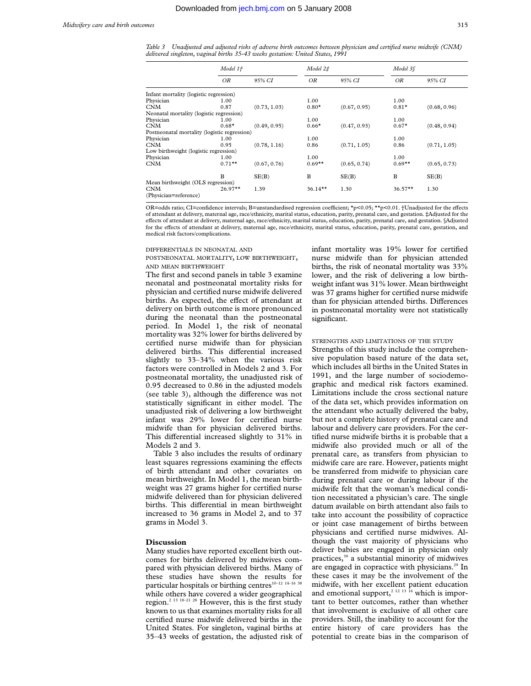*Table 3 Unadjusted and adjusted risks of adverse birth outcomes between physician and certified nurse midwife (CNM) delivered singleton, vaginal births 35-43 weeks gestation: United States, 1991*

|                                              | Model 1+  |              | Model 2‡   |              | Model 36  |              |
|----------------------------------------------|-----------|--------------|------------|--------------|-----------|--------------|
|                                              | ΟR        | 95% CI       | ΟR         | 95% CI       | OR        | 95% CI       |
| Infant mortality (logistic regression)       |           |              |            |              |           |              |
| Physician                                    | 1.00      |              | 1.00       |              | 1.00      |              |
| <b>CNM</b>                                   | 0.87      | (0.73, 1.03) | $0.80*$    | (0.67, 0.95) | $0.81*$   | (0.68, 0.96) |
| Neonatal mortality (logistic regression)     |           |              |            |              |           |              |
| Physician                                    | 1.00      |              | 1.00       |              | 1.00      |              |
| <b>CNM</b>                                   | $0.68*$   | (0.49, 0.95) | $0.66*$    | (0.47, 0.93) | $0.67*$   | (0.48, 0.94) |
| Postneonatal mortality (logistic regression) |           |              |            |              |           |              |
| Physician                                    | 1.00      |              | 1.00       |              | 1.00      |              |
| <b>CNM</b>                                   | 0.95      | (0.78, 1.16) | 0.86       | (0.71, 1.05) | 0.86      | (0.71, 1.05) |
| Low birthweight (logistic regression)        |           |              |            |              |           |              |
| Physician                                    | 1.00      |              | 1.00       |              | 1.00      |              |
| <b>CNM</b>                                   | $0.71***$ | (0.67, 0.76) | $0.69**$   | (0.65, 0.74) | $0.69**$  | (0.65, 0.73) |
|                                              | В         | SE(B)        | B          | SE(B)        | B         | SE(B)        |
| Mean birthweight (OLS regression)            |           |              |            |              |           |              |
| <b>CNM</b><br>(Physician=reference)          | $26.97**$ | 1.39         | $36.14***$ | 1.30         | $36.57**$ | 1.30         |

OR=odds ratio; CI=confidence intervals; B=unstandardised regression coefficient; \*p<0.05; \*\*p<0.01. †Unadjusted for the effects of attendant at delivery, maternal age, race/ethnicity, marital status, education, parity, prenatal care, and gestation. ‡Adjusted for the effects of attendant at delivery, maternal age, race/ethnicity, marital status, education, parity, prenatal care, and gestation. §Adjusted for the effects of attendant at delivery, maternal age, race/ethnicity, marital status, education, parity, prenatal care, gestation, and medical risk factors/complications.

DIFFERENTIALS IN NEONATAL AND

## POSTNEONATAL MORTALITY, LOW BIRTHWEIGHT, AND MEAN BIRTHWEIGHT

The first and second panels in table 3 examine neonatal and postneonatal mortality risks for physician and certified nurse midwife delivered births. As expected, the effect of attendant at delivery on birth outcome is more pronounced during the neonatal than the postneonatal period. In Model 1, the risk of neonatal mortality was 32% lower for births delivered by certified nurse midwife than for physician delivered births. This differential increased slightly to 33–34% when the various risk factors were controlled in Models 2 and 3. For postneonatal mortality, the unadjusted risk of 0.95 decreased to 0.86 in the adjusted models (see table 3), although the difference was not statistically significant in either model. The unadjusted risk of delivering a low birthweight infant was 29% lower for certified nurse midwife than for physician delivered births. This differential increased slightly to  $31\%$  in Models 2 and 3.

Table 3 also includes the results of ordinary least squares regressions examining the effects of birth attendant and other covariates on mean birthweight. In Model 1, the mean birthweight was 27 grams higher for certified nurse midwife delivered than for physician delivered births. This differential in mean birthweight increased to 36 grams in Model 2, and to 37 grams in Model 3.

## **Discussion**

Many studies have reported excellent birth outcomes for births delivered by midwives compared with physician delivered births. Many of these studies have shown the results for particular hospitals or birthing centres<sup>10-12</sup> <sup>14-16</sup> <sup>38</sup> while others have covered a wider geographical region.2 13 18–21 28 However, this is the first study known to us that examines mortality risks for all certified nurse midwife delivered births in the United States. For singleton, vaginal births at 35–43 weeks of gestation, the adjusted risk of infant mortality was 19% lower for certified nurse midwife than for physician attended births, the risk of neonatal mortality was 33% lower, and the risk of delivering a low birthweight infant was 31% lower. Mean birthweight was 37 grams higher for certified nurse midwife than for physician attended births. Differences in postneonatal mortality were not statistically significant.

## STRENGTHS AND LIMITATIONS OF THE STUDY

Strengths of this study include the comprehensive population based nature of the data set, which includes all births in the United States in 1991, and the large number of sociodemographic and medical risk factors examined. Limitations include the cross sectional nature of the data set, which provides information on the attendant who actually delivered the baby, but not a complete history of prenatal care and labour and delivery care providers. For the certified nurse midwife births it is probable that a midwife also provided much or all of the prenatal care, as transfers from physician to midwife care are rare. However, patients might be transferred from midwife to physician care during prenatal care or during labour if the midwife felt that the woman's medical condition necessitated a physician's care. The single datum available on birth attendant also fails to take into account the possibility of copractice or joint case management of births between physicians and certified nurse midwives. Although the vast majority of physicians who deliver babies are engaged in physician only practices,<sup>39</sup> a substantial minority of midwives are engaged in copractice with physicians.<sup>29</sup> In these cases it may be the involvement of the midwife, with her excellent patient education and emotional support,<sup>2 12 13 16</sup> which is important to better outcomes, rather than whether that involvement is exclusive of all other care providers. Still, the inability to account for the entire history of care providers has the potential to create bias in the comparison of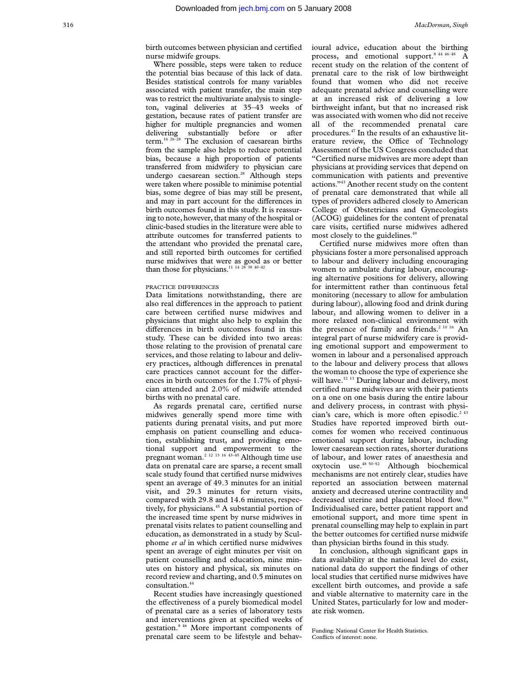birth outcomes between physician and certified nurse midwife groups.

Where possible, steps were taken to reduce the potential bias because of this lack of data. Besides statistical controls for many variables associated with patient transfer, the main step was to restrict the multivariate analysis to singleton, vaginal deliveries at 35–43 weeks of gestation, because rates of patient transfer are higher for multiple pregnancies and women delivering substantially before or after term.16 26–28 The exclusion of caesarean births from the sample also helps to reduce potential bias, because a high proportion of patients transferred from midwifery to physician care undergo caesarean section.<sup>28</sup> Although steps were taken where possible to minimise potential bias, some degree of bias may still be present, and may in part account for the differences in birth outcomes found in this study. It is reassuring to note, however, that many of the hospital or clinic-based studies in the literature were able to attribute outcomes for transferred patients to the attendant who provided the prenatal care, and still reported birth outcomes for certified nurse midwives that were as good as or better than those for physicians.<sup>11 14 28 38 40-42</sup>

## PRACTICE DIFFERENCES

Data limitations notwithstanding, there are also real differences in the approach to patient care between certified nurse midwives and physicians that might also help to explain the differences in birth outcomes found in this study. These can be divided into two areas: those relating to the provision of prenatal care services, and those relating to labour and delivery practices, although differences in prenatal care practices cannot account for the differences in birth outcomes for the 1.7% of physician attended and 2.0% of midwife attended births with no prenatal care.

As regards prenatal care, certified nurse midwives generally spend more time with patients during prenatal visits, and put more emphasis on patient counselling and education, establishing trust, and providing emotional support and empowerment to the pregnant woman.2 12 13 16 43–45 Although time use data on prenatal care are sparse, a recent small scale study found that certified nurse midwives spent an average of 49.3 minutes for an initial visit, and 29.3 minutes for return visits, compared with 29.8 and 14.6 minutes, respectively, for physicians.<sup>45</sup> A substantial portion of the increased time spent by nurse midwives in prenatal visits relates to patient counselling and education, as demonstrated in a study by Sculphome *et al* in which certified nurse midwives spent an average of eight minutes per visit on patient counselling and education, nine minutes on history and physical, six minutes on record review and charting, and 0.5 minutes on consultation.<sup>4</sup>

Recent studies have increasingly questioned the effectiveness of a purely biomedical model of prenatal care as a series of laboratory tests and interventions given at specified weeks of gestation.8 46 More important components of prenatal care seem to be lifestyle and behavioural advice, education about the birthing process, and emotional support.<sup>8 44 46-48</sup> A recent study on the relation of the content of prenatal care to the risk of low birthweight found that women who did not receive adequate prenatal advice and counselling were at an increased risk of delivering a low birthweight infant, but that no increased risk was associated with women who did not receive all of the recommended prenatal care procedures.47 In the results of an exhaustive literature review, the Office of Technology Assessment of the US Congress concluded that "Certified nurse midwives are more adept than physicians at providing services that depend on communication with patients and preventive actions."43 Another recent study on the content of prenatal care demonstrated that while all types of providers adhered closely to American College of Obstetricians and Gynecologists (ACOG) guidelines for the content of prenatal care visits, certified nurse midwives adhered most closely to the guidelines.<sup>49</sup>

Certified nurse midwives more often than physicians foster a more personalised approach to labour and delivery including encouraging women to ambulate during labour, encouraging alternative positions for delivery, allowing for intermittent rather than continuous fetal monitoring (necessary to allow for ambulation during labour), allowing food and drink during labour, and allowing women to deliver in a more relaxed non-clinical environment with the presence of family and friends.<sup>2 10 16</sup> An integral part of nurse midwifery care is providing emotional support and empowerment to women in labour and a personalised approach to the labour and delivery process that allows the woman to choose the type of experience she will have.<sup>12 13</sup> During labour and delivery, most certified nurse midwives are with their patients on a one on one basis during the entire labour and delivery process, in contrast with physician's care, which is more often episodic.<sup>2 43</sup> Studies have reported improved birth outcomes for women who received continuous emotional support during labour, including lower caesarean section rates, shorter durations of labour, and lower rates of anaesthesia and oxytocin use.48 50–52 Although biochemical mechanisms are not entirely clear, studies have reported an association between maternal anxiety and decreased uterine contractility and decreased uterine and placental blood flow.<sup>50</sup> Individualised care, better patient rapport and emotional support, and more time spent in prenatal counselling may help to explain in part the better outcomes for certified nurse midwife than physician births found in this study.

In conclusion, although significant gaps in data availability at the national level do exist, national data do support the findings of other local studies that certified nurse midwives have excellent birth outcomes, and provide a safe and viable alternative to maternity care in the United States, particularly for low and moderate risk women.

Funding: National Center for Health Statistics. Conflicts of interest: none.